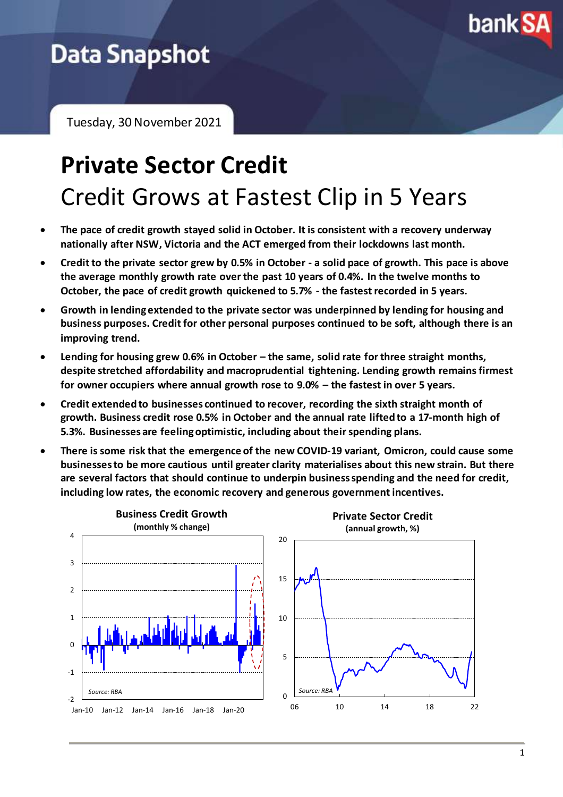

# **Data Snapshot**

Tuesday, 30 November 2021

# **Private Sector Credit** Credit Grows at Fastest Clip in 5 Years

- **The pace of credit growth stayed solid in October. It is consistent with a recovery underway nationally after NSW, Victoria and the ACT emerged from their lockdowns last month.**
- **Credit to the private sector grew by 0.5% in October - a solid pace of growth. This pace is above the average monthly growth rate over the past 10 years of 0.4%. In the twelve months to October, the pace of credit growth quickened to 5.7% - the fastest recorded in 5 years.**
- **Growth in lending extended to the private sector was underpinned by lending for housing and business purposes. Credit for other personal purposes continued to be soft, although there is an improving trend.**
- **Lending for housing grew 0.6% in October – the same, solid rate for three straight months, despite stretched affordability and macroprudential tightening. Lending growth remains firmest for owner occupiers where annual growth rose to 9.0% – the fastest in over 5 years.**
- **Credit extended to businesses continued to recover, recording the sixth straight month of growth. Business credit rose 0.5% in October and the annual rate lifted to a 17-month high of 5.3%. Businesses are feeling optimistic, including about their spending plans.**
- **There is some risk that the emergence of the new COVID-19 variant, Omicron, could cause some businesses to be more cautious until greater clarity materialises about this new strain. But there are several factors that should continue to underpin business spending and the need for credit, including low rates, the economic recovery and generous government incentives.**

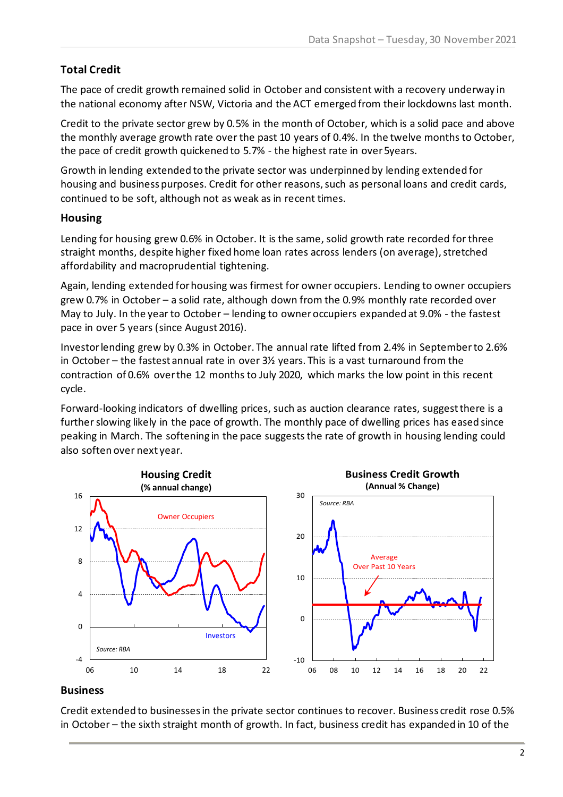## **Total Credit**

The pace of credit growth remained solid in October and consistent with a recovery underway in the national economy after NSW, Victoria and the ACT emerged from their lockdowns last month.

Credit to the private sector grew by 0.5% in the month of October, which is a solid pace and above the monthly average growth rate over the past 10 years of 0.4%. In the twelve months to October, the pace of credit growth quickened to 5.7% - the highest rate in over 5years.

Growth in lending extended to the private sector was underpinned by lending extended for housing and business purposes. Credit for other reasons, such as personal loans and credit cards, continued to be soft, although not as weak as in recent times.

### **Housing**

Lending for housing grew 0.6% in October. It is the same, solid growth rate recorded for three straight months, despite higher fixed home loan rates across lenders (on average), stretched affordability and macroprudential tightening.

Again, lending extended for housing was firmest for owner occupiers. Lending to owner occupiers grew 0.7% in October – a solid rate, although down from the 0.9% monthly rate recorded over May to July. In the year to October – lending to owner occupiers expanded at 9.0% - the fastest pace in over 5 years (since August 2016).

Investor lending grew by 0.3% in October. The annual rate lifted from 2.4% in September to 2.6% in October – the fastest annual rate in over 3½ years. This is a vast turnaround from the contraction of 0.6% over the 12 months to July 2020, which marks the low point in this recent cycle.

Forward-looking indicators of dwelling prices, such as auction clearance rates, suggest there is a further slowing likely in the pace of growth. The monthly pace of dwelling prices has eased since peaking in March. The softening in the pace suggests the rate of growth in housing lending could also soften over next year.



### **Business**

Credit extended to businesses in the private sector continues to recover. Business credit rose 0.5% in October – the sixth straight month of growth. In fact, business credit has expanded in 10 of the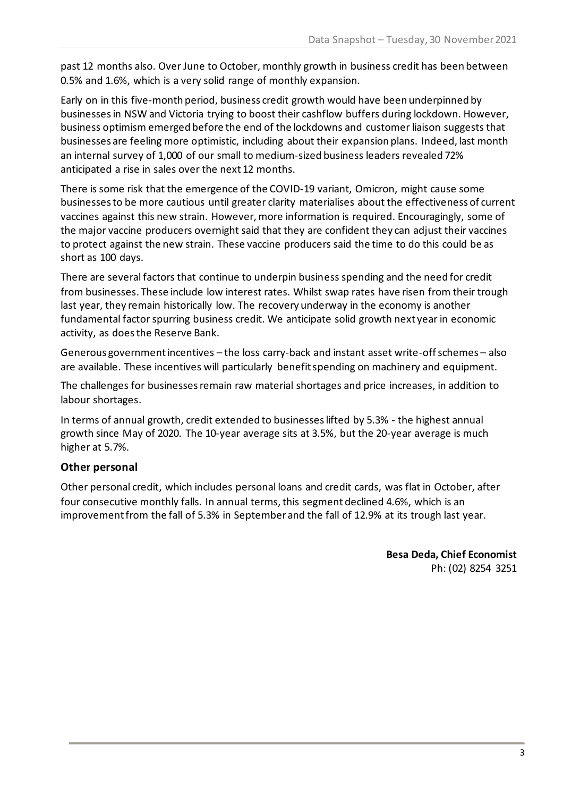past 12 months also. Over June to October, monthly growth in business credit has been between 0.5% and 1.6%, which is a very solid range of monthly expansion.

Early on in this five-month period, business credit growth would have been underpinned by businesses in NSW and Victoria trying to boost their cashflow buffers during lockdown. However, business optimism emerged before the end of the lockdowns and customer liaison suggests that businesses are feeling more optimistic, including about their expansion plans. Indeed, last month an internal survey of 1,000 of our small to medium-sized business leaders revealed 72% anticipated a rise in sales over the next 12 months.

There is some risk that the emergence of the COVID-19 variant, Omicron, might cause some businesses to be more cautious until greater clarity materialises about the effectiveness of current vaccines against this new strain. However, more information is required. Encouragingly, some of the major vaccine producers overnight said that they are confident they can adjust their vaccines to protect against the new strain. These vaccine producers said the time to do this could be as short as 100 days.

There are several factors that continue to underpin business spending and the need for credit from businesses. These include low interest rates. Whilst swap rates have risen from their trough last year, they remain historically low. The recovery underway in the economy is another fundamental factor spurring business credit. We anticipate solid growth next year in economic activity, as does the Reserve Bank.

Generous government incentives – the loss carry-back and instant asset write-off schemes – also are available. These incentives will particularly benefit spending on machinery and equipment.

The challenges for businesses remain raw material shortages and price increases, in addition to labour shortages.

In terms of annual growth, credit extended to businesses lifted by 5.3% - the highest annual growth since May of 2020. The 10-year average sits at 3.5%, but the 20-year average is much higher at 5.7%.

### **Other personal**

Other personal credit, which includes personal loans and credit cards, was flat in October, after four consecutive monthly falls. In annual terms, this segment declined 4.6%, which is an improvement from the fall of 5.3% in September and the fall of 12.9% at its trough last year.

> **Besa Deda, Chief Economist** Ph: (02) 8254 3251